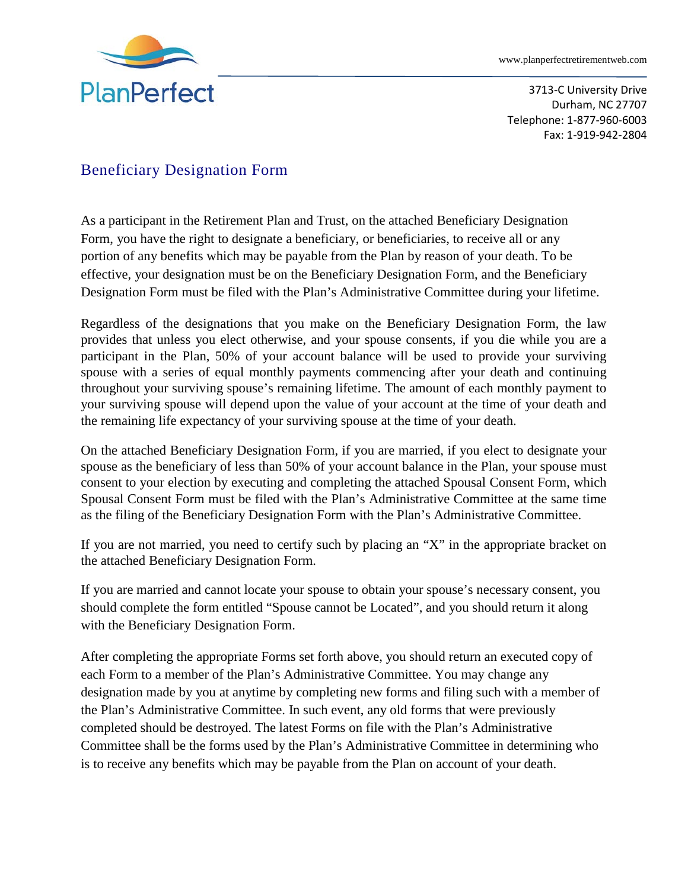

3713-C University Drive Durham, NC 27707 Telephone: 1-877-960-6003 Fax: 1-919-942-2804

## Beneficiary Designation Form

As a participant in the Retirement Plan and Trust, on the attached Beneficiary Designation Form, you have the right to designate a beneficiary, or beneficiaries, to receive all or any portion of any benefits which may be payable from the Plan by reason of your death. To be effective, your designation must be on the Beneficiary Designation Form, and the Beneficiary Designation Form must be filed with the Plan's Administrative Committee during your lifetime.

Regardless of the designations that you make on the Beneficiary Designation Form, the law provides that unless you elect otherwise, and your spouse consents, if you die while you are a participant in the Plan, 50% of your account balance will be used to provide your surviving spouse with a series of equal monthly payments commencing after your death and continuing throughout your surviving spouse's remaining lifetime. The amount of each monthly payment to your surviving spouse will depend upon the value of your account at the time of your death and the remaining life expectancy of your surviving spouse at the time of your death.

On the attached Beneficiary Designation Form, if you are married, if you elect to designate your spouse as the beneficiary of less than 50% of your account balance in the Plan, your spouse must consent to your election by executing and completing the attached Spousal Consent Form, which Spousal Consent Form must be filed with the Plan's Administrative Committee at the same time as the filing of the Beneficiary Designation Form with the Plan's Administrative Committee.

If you are not married, you need to certify such by placing an "X" in the appropriate bracket on the attached Beneficiary Designation Form.

If you are married and cannot locate your spouse to obtain your spouse's necessary consent, you should complete the form entitled "Spouse cannot be Located", and you should return it along with the Beneficiary Designation Form.

After completing the appropriate Forms set forth above, you should return an executed copy of each Form to a member of the Plan's Administrative Committee. You may change any designation made by you at anytime by completing new forms and filing such with a member of the Plan's Administrative Committee. In such event, any old forms that were previously completed should be destroyed. The latest Forms on file with the Plan's Administrative Committee shall be the forms used by the Plan's Administrative Committee in determining who is to receive any benefits which may be payable from the Plan on account of your death.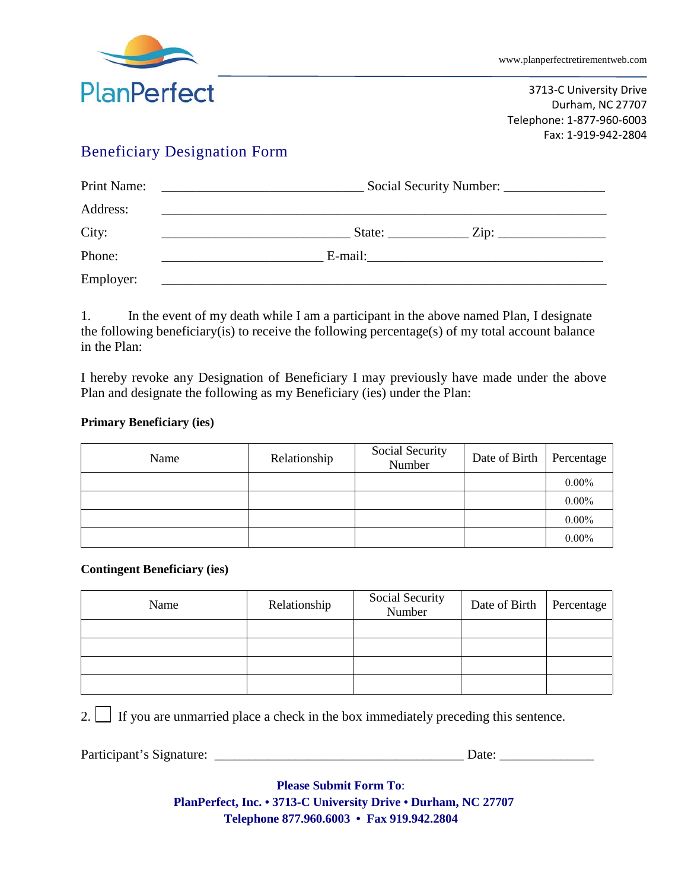

3713-C University Drive Durham, NC 27707 Telephone: 1-877-960-6003 Fax: 1-919-942-2804

### Beneficiary Designation Form

| Print Name: | $\overline{\phantom{a}}$ . The contract of the contract of the contract of $\overline{\phantom{a}}$                                                                                                                                  |  |  |
|-------------|--------------------------------------------------------------------------------------------------------------------------------------------------------------------------------------------------------------------------------------|--|--|
| Address:    | <u>and the state of the state of the state of the state of the state of the state of the state of the state of th</u>                                                                                                                |  |  |
| City:       | State: $\frac{Zip:\_$<br><u> 1989 - Johann Barbara, martin amerikan basal dan berasal dan berasal dan berasal dari berasal dan berasal dan</u>                                                                                       |  |  |
| Phone:      | <u>and the state of the state of the state of the state of the state of the state of the state of the state of the state of the state of the state of the state of the state of the state of the state of the state of the state</u> |  |  |
| Employer:   |                                                                                                                                                                                                                                      |  |  |

1. In the event of my death while I am a participant in the above named Plan, I designate the following beneficiary(is) to receive the following percentage(s) of my total account balance in the Plan:

I hereby revoke any Designation of Beneficiary I may previously have made under the above Plan and designate the following as my Beneficiary (ies) under the Plan:

### **Primary Beneficiary (ies)**

| Name | Relationship | Social Security<br>Number | Date of Birth | Percentage |
|------|--------------|---------------------------|---------------|------------|
|      |              |                           |               | $0.00\%$   |
|      |              |                           |               | $0.00\%$   |
|      |              |                           |               | $0.00\%$   |
|      |              |                           |               | $0.00\%$   |

#### **Contingent Beneficiary (ies)**

| Name | Relationship | Social Security<br>Number | Date of Birth   Percentage |  |
|------|--------------|---------------------------|----------------------------|--|
|      |              |                           |                            |  |
|      |              |                           |                            |  |
|      |              |                           |                            |  |
|      |              |                           |                            |  |

2. If you are unmarried place a check in the box immediately preceding this sentence.

Participant's Signature: \_\_\_\_\_\_\_\_\_\_\_\_\_\_\_\_\_\_\_\_\_\_\_\_\_\_\_\_\_\_\_\_\_\_\_\_\_ Date: \_\_\_\_\_\_\_\_\_\_\_\_\_\_

**Please Submit Form To**: **PlanPerfect, Inc. • 3713-C University Drive • Durham, NC 27707 Telephone 877.960.6003 • Fax 919.942.2804**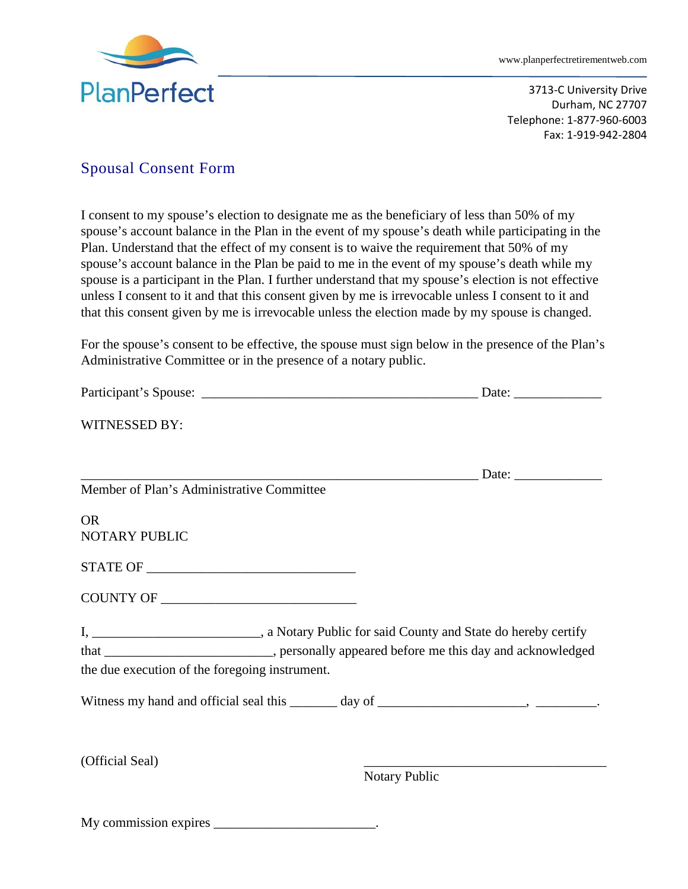

3713-C University Drive Durham, NC 27707 Telephone: 1-877-960-6003 Fax: 1-919-942-2804

### Spousal Consent Form

I consent to my spouse's election to designate me as the beneficiary of less than 50% of my spouse's account balance in the Plan in the event of my spouse's death while participating in the Plan. Understand that the effect of my consent is to waive the requirement that 50% of my spouse's account balance in the Plan be paid to me in the event of my spouse's death while my spouse is a participant in the Plan. I further understand that my spouse's election is not effective unless I consent to it and that this consent given by me is irrevocable unless I consent to it and that this consent given by me is irrevocable unless the election made by my spouse is changed.

For the spouse's consent to be effective, the spouse must sign below in the presence of the Plan's Administrative Committee or in the presence of a notary public.

| WITNESSED BY:                                                                           |               |
|-----------------------------------------------------------------------------------------|---------------|
|                                                                                         |               |
| Member of Plan's Administrative Committee                                               |               |
| <b>OR</b>                                                                               |               |
| NOTARY PUBLIC                                                                           |               |
|                                                                                         |               |
|                                                                                         |               |
|                                                                                         |               |
| that _________________________, personally appeared before me this day and acknowledged |               |
| the due execution of the foregoing instrument.                                          |               |
|                                                                                         |               |
|                                                                                         |               |
| (Official Seal)                                                                         | Notary Public |
|                                                                                         |               |

My commission expires \_\_\_\_\_\_\_\_\_\_\_\_\_\_\_\_\_\_\_\_\_\_\_\_.